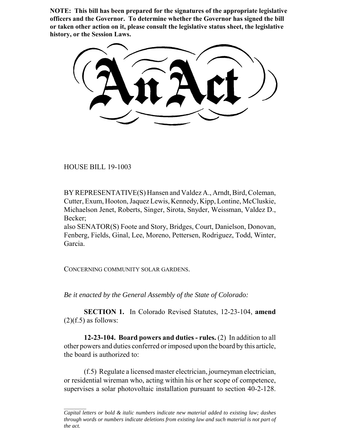**NOTE: This bill has been prepared for the signatures of the appropriate legislative officers and the Governor. To determine whether the Governor has signed the bill or taken other action on it, please consult the legislative status sheet, the legislative history, or the Session Laws.**

HOUSE BILL 19-1003

BY REPRESENTATIVE(S) Hansen and Valdez A., Arndt, Bird, Coleman, Cutter, Exum, Hooton, Jaquez Lewis, Kennedy, Kipp, Lontine, McCluskie, Michaelson Jenet, Roberts, Singer, Sirota, Snyder, Weissman, Valdez D., Becker;

also SENATOR(S) Foote and Story, Bridges, Court, Danielson, Donovan, Fenberg, Fields, Ginal, Lee, Moreno, Pettersen, Rodriguez, Todd, Winter, Garcia.

CONCERNING COMMUNITY SOLAR GARDENS.

*Be it enacted by the General Assembly of the State of Colorado:*

**SECTION 1.** In Colorado Revised Statutes, 12-23-104, **amend**  $(2)(f.5)$  as follows:

**12-23-104. Board powers and duties - rules.** (2) In addition to all other powers and duties conferred or imposed upon the board by this article, the board is authorized to:

(f.5) Regulate a licensed master electrician, journeyman electrician, or residential wireman who, acting within his or her scope of competence, supervises a solar photovoltaic installation pursuant to section 40-2-128.

*Capital letters or bold & italic numbers indicate new material added to existing law; dashes through words or numbers indicate deletions from existing law and such material is not part of the act.*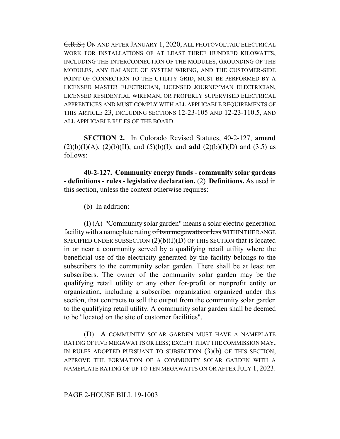C.R.S.; ON AND AFTER JANUARY 1, 2020, ALL PHOTOVOLTAIC ELECTRICAL WORK FOR INSTALLATIONS OF AT LEAST THREE HUNDRED KILOWATTS, INCLUDING THE INTERCONNECTION OF THE MODULES, GROUNDING OF THE MODULES, ANY BALANCE OF SYSTEM WIRING, AND THE CUSTOMER-SIDE POINT OF CONNECTION TO THE UTILITY GRID, MUST BE PERFORMED BY A LICENSED MASTER ELECTRICIAN, LICENSED JOURNEYMAN ELECTRICIAN, LICENSED RESIDENTIAL WIREMAN, OR PROPERLY SUPERVISED ELECTRICAL APPRENTICES AND MUST COMPLY WITH ALL APPLICABLE REQUIREMENTS OF THIS ARTICLE 23, INCLUDING SECTIONS 12-23-105 AND 12-23-110.5, AND ALL APPLICABLE RULES OF THE BOARD.

**SECTION 2.** In Colorado Revised Statutes, 40-2-127, **amend**  $(2)(b)(I)(A)$ ,  $(2)(b)(II)$ , and  $(5)(b)(I)$ ; and **add**  $(2)(b)(I)(D)$  and  $(3.5)$  as follows:

**40-2-127. Community energy funds - community solar gardens - definitions - rules - legislative declaration.** (2) **Definitions.** As used in this section, unless the context otherwise requires:

(b) In addition:

(I) (A) "Community solar garden" means a solar electric generation facility with a nameplate rating of two megawatts or less WITHIN THE RANGE SPECIFIED UNDER SUBSECTION  $(2)(b)(I)(D)$  OF THIS SECTION that is located in or near a community served by a qualifying retail utility where the beneficial use of the electricity generated by the facility belongs to the subscribers to the community solar garden. There shall be at least ten subscribers. The owner of the community solar garden may be the qualifying retail utility or any other for-profit or nonprofit entity or organization, including a subscriber organization organized under this section, that contracts to sell the output from the community solar garden to the qualifying retail utility. A community solar garden shall be deemed to be "located on the site of customer facilities".

(D) A COMMUNITY SOLAR GARDEN MUST HAVE A NAMEPLATE RATING OF FIVE MEGAWATTS OR LESS; EXCEPT THAT THE COMMISSION MAY, IN RULES ADOPTED PURSUANT TO SUBSECTION (3)(b) OF THIS SECTION, APPROVE THE FORMATION OF A COMMUNITY SOLAR GARDEN WITH A NAMEPLATE RATING OF UP TO TEN MEGAWATTS ON OR AFTER JULY 1, 2023.

## PAGE 2-HOUSE BILL 19-1003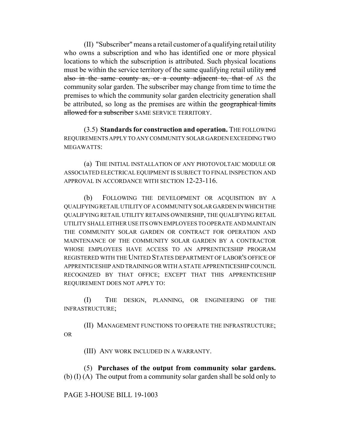(II) "Subscriber" means a retail customer of a qualifying retail utility who owns a subscription and who has identified one or more physical locations to which the subscription is attributed. Such physical locations must be within the service territory of the same qualifying retail utility and also in the same county as, or a county adjacent to, that of AS the community solar garden. The subscriber may change from time to time the premises to which the community solar garden electricity generation shall be attributed, so long as the premises are within the geographical limits allowed for a subscriber SAME SERVICE TERRITORY.

(3.5) **Standards for construction and operation.** THE FOLLOWING REQUIREMENTS APPLY TO ANY COMMUNITY SOLAR GARDEN EXCEEDING TWO MEGAWATTS:

(a) THE INITIAL INSTALLATION OF ANY PHOTOVOLTAIC MODULE OR ASSOCIATED ELECTRICAL EQUIPMENT IS SUBJECT TO FINAL INSPECTION AND APPROVAL IN ACCORDANCE WITH SECTION 12-23-116.

(b) FOLLOWING THE DEVELOPMENT OR ACQUISITION BY A QUALIFYING RETAIL UTILITY OF A COMMUNITY SOLAR GARDEN IN WHICH THE QUALIFYING RETAIL UTILITY RETAINS OWNERSHIP, THE QUALIFYING RETAIL UTILITY SHALL EITHER USE ITS OWN EMPLOYEES TO OPERATE AND MAINTAIN THE COMMUNITY SOLAR GARDEN OR CONTRACT FOR OPERATION AND MAINTENANCE OF THE COMMUNITY SOLAR GARDEN BY A CONTRACTOR WHOSE EMPLOYEES HAVE ACCESS TO AN APPRENTICESHIP PROGRAM REGISTERED WITH THE UNITED STATES DEPARTMENT OF LABOR'S OFFICE OF APPRENTICESHIP AND TRAINING OR WITH A STATE APPRENTICESHIP COUNCIL RECOGNIZED BY THAT OFFICE; EXCEPT THAT THIS APPRENTICESHIP REQUIREMENT DOES NOT APPLY TO:

(I) THE DESIGN, PLANNING, OR ENGINEERING OF THE INFRASTRUCTURE;

(II) MANAGEMENT FUNCTIONS TO OPERATE THE INFRASTRUCTURE; OR

(III) ANY WORK INCLUDED IN A WARRANTY.

(5) **Purchases of the output from community solar gardens.** (b) (I) (A) The output from a community solar garden shall be sold only to

## PAGE 3-HOUSE BILL 19-1003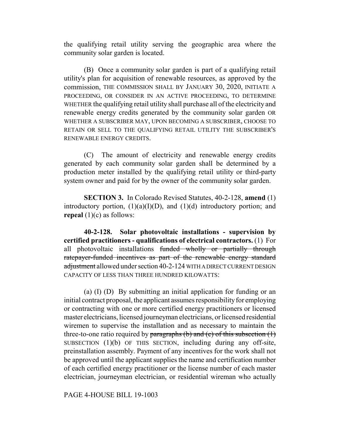the qualifying retail utility serving the geographic area where the community solar garden is located.

(B) Once a community solar garden is part of a qualifying retail utility's plan for acquisition of renewable resources, as approved by the commission, THE COMMISSION SHALL BY JANUARY 30, 2020, INITIATE A PROCEEDING, OR CONSIDER IN AN ACTIVE PROCEEDING, TO DETERMINE WHETHER the qualifying retail utility shall purchase all of the electricity and renewable energy credits generated by the community solar garden OR WHETHER A SUBSCRIBER MAY, UPON BECOMING A SUBSCRIBER, CHOOSE TO RETAIN OR SELL TO THE QUALIFYING RETAIL UTILITY THE SUBSCRIBER'S RENEWABLE ENERGY CREDITS.

(C) The amount of electricity and renewable energy credits generated by each community solar garden shall be determined by a production meter installed by the qualifying retail utility or third-party system owner and paid for by the owner of the community solar garden.

**SECTION 3.** In Colorado Revised Statutes, 40-2-128, **amend** (1) introductory portion,  $(1)(a)(I)(D)$ , and  $(1)(d)$  introductory portion; and **repeal** (1)(c) as follows:

**40-2-128. Solar photovoltaic installations - supervision by certified practitioners - qualifications of electrical contractors.** (1) For all photovoltaic installations funded wholly or partially through ratepayer-funded incentives as part of the renewable energy standard adjustment allowed under section 40-2-124 WITH A DIRECT CURRENT DESIGN CAPACITY OF LESS THAN THREE HUNDRED KILOWATTS:

(a) (I) (D) By submitting an initial application for funding or an initial contract proposal, the applicant assumes responsibility for employing or contracting with one or more certified energy practitioners or licensed master electricians, licensed journeyman electricians, or licensed residential wiremen to supervise the installation and as necessary to maintain the three-to-one ratio required by paragraphs (b) and (c) of this subsection  $(1)$ SUBSECTION (1)(b) OF THIS SECTION, including during any off-site, preinstallation assembly. Payment of any incentives for the work shall not be approved until the applicant supplies the name and certification number of each certified energy practitioner or the license number of each master electrician, journeyman electrician, or residential wireman who actually

PAGE 4-HOUSE BILL 19-1003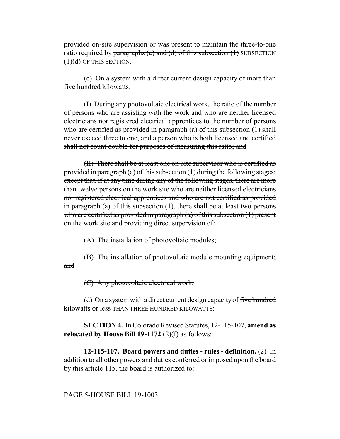provided on-site supervision or was present to maintain the three-to-one ratio required by paragraphs  $(c)$  and  $(d)$  of this subsection  $(1)$  SUBSECTION (1)(d) OF THIS SECTION.

(c)  $\Theta$ n a system with a direct current design capacity of more than five hundred kilowatts:

(I) During any photovoltaic electrical work, the ratio of the number of persons who are assisting with the work and who are neither licensed electricians nor registered electrical apprentices to the number of persons who are certified as provided in paragraph (a) of this subsection (1) shall never exceed three to one, and a person who is both licensed and certified shall not count double for purposes of measuring this ratio; and

(II) There shall be at least one on-site supervisor who is certified as provided in paragraph (a) of this subsection (1) during the following stages; except that, if at any time during any of the following stages, there are more than twelve persons on the work site who are neither licensed electricians nor registered electrical apprentices and who are not certified as provided in paragraph (a) of this subsection  $(1)$ , there shall be at least two persons who are certified as provided in paragraph  $(a)$  of this subsection  $(1)$  present on the work site and providing direct supervision of:

(A) The installation of photovoltaic modules;

(B) The installation of photovoltaic module mounting equipment; and

(C) Any photovoltaic electrical work.

(d) On a system with a direct current design capacity of five hundred kilowatts or less THAN THREE HUNDRED KILOWATTS:

**SECTION 4.** In Colorado Revised Statutes, 12-115-107, **amend as relocated by House Bill 19-1172** (2)(f) as follows:

**12-115-107. Board powers and duties - rules - definition.** (2) In addition to all other powers and duties conferred or imposed upon the board by this article 115, the board is authorized to:

PAGE 5-HOUSE BILL 19-1003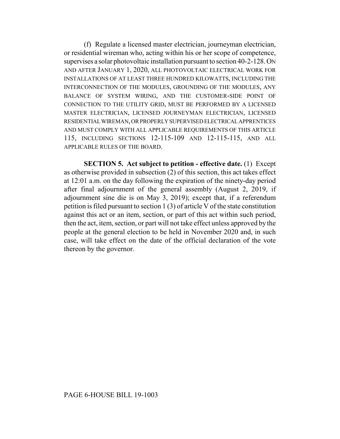(f) Regulate a licensed master electrician, journeyman electrician, or residential wireman who, acting within his or her scope of competence, supervises a solar photovoltaic installation pursuant to section 40-2-128. ON AND AFTER JANUARY 1, 2020, ALL PHOTOVOLTAIC ELECTRICAL WORK FOR INSTALLATIONS OF AT LEAST THREE HUNDRED KILOWATTS, INCLUDING THE INTERCONNECTION OF THE MODULES, GROUNDING OF THE MODULES, ANY BALANCE OF SYSTEM WIRING, AND THE CUSTOMER-SIDE POINT OF CONNECTION TO THE UTILITY GRID, MUST BE PERFORMED BY A LICENSED MASTER ELECTRICIAN, LICENSED JOURNEYMAN ELECTRICIAN, LICENSED RESIDENTIAL WIREMAN, OR PROPERLY SUPERVISED ELECTRICAL APPRENTICES AND MUST COMPLY WITH ALL APPLICABLE REQUIREMENTS OF THIS ARTICLE 115, INCLUDING SECTIONS 12-115-109 AND 12-115-115, AND ALL APPLICABLE RULES OF THE BOARD.

**SECTION 5. Act subject to petition - effective date.** (1) Except as otherwise provided in subsection (2) of this section, this act takes effect at 12:01 a.m. on the day following the expiration of the ninety-day period after final adjournment of the general assembly (August 2, 2019, if adjournment sine die is on May 3, 2019); except that, if a referendum petition is filed pursuant to section 1 (3) of article V of the state constitution against this act or an item, section, or part of this act within such period, then the act, item, section, or part will not take effect unless approved by the people at the general election to be held in November 2020 and, in such case, will take effect on the date of the official declaration of the vote thereon by the governor.